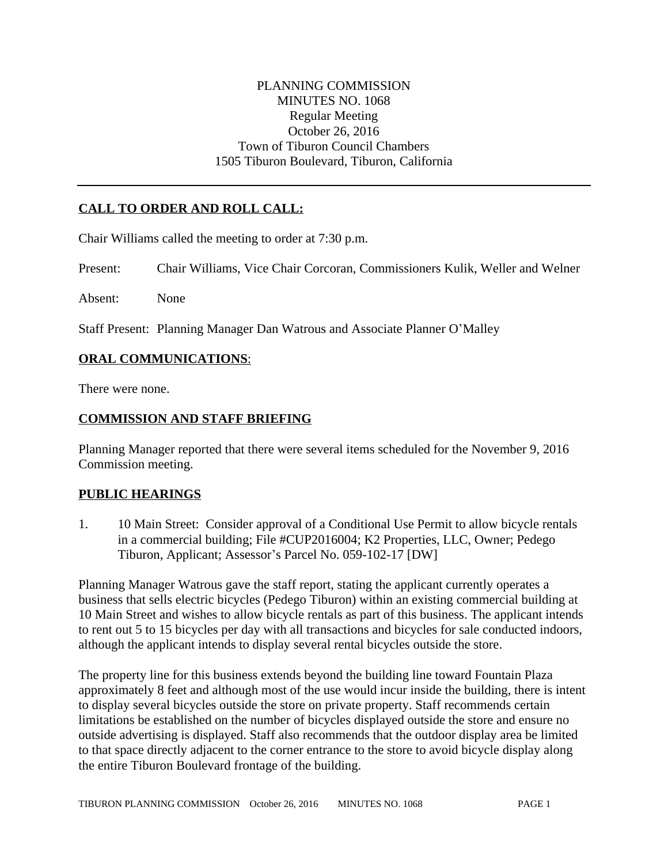### PLANNING COMMISSION MINUTES NO. 1068 Regular Meeting October 26, 2016 Town of Tiburon Council Chambers 1505 Tiburon Boulevard, Tiburon, California

## **CALL TO ORDER AND ROLL CALL:**

Chair Williams called the meeting to order at 7:30 p.m.

Present: Chair Williams, Vice Chair Corcoran, Commissioners Kulik, Weller and Welner

Absent: None

Staff Present: Planning Manager Dan Watrous and Associate Planner O'Malley

#### **ORAL COMMUNICATIONS**:

There were none.

#### **COMMISSION AND STAFF BRIEFING**

Planning Manager reported that there were several items scheduled for the November 9, 2016 Commission meeting.

#### **PUBLIC HEARINGS**

1. 10 Main Street: Consider approval of a Conditional Use Permit to allow bicycle rentals in a commercial building; File #CUP2016004; K2 Properties, LLC, Owner; Pedego Tiburon, Applicant; Assessor's Parcel No. 059-102-17 [DW]

Planning Manager Watrous gave the staff report, stating the applicant currently operates a business that sells electric bicycles (Pedego Tiburon) within an existing commercial building at 10 Main Street and wishes to allow bicycle rentals as part of this business. The applicant intends to rent out 5 to 15 bicycles per day with all transactions and bicycles for sale conducted indoors, although the applicant intends to display several rental bicycles outside the store.

The property line for this business extends beyond the building line toward Fountain Plaza approximately 8 feet and although most of the use would incur inside the building, there is intent to display several bicycles outside the store on private property. Staff recommends certain limitations be established on the number of bicycles displayed outside the store and ensure no outside advertising is displayed. Staff also recommends that the outdoor display area be limited to that space directly adjacent to the corner entrance to the store to avoid bicycle display along the entire Tiburon Boulevard frontage of the building.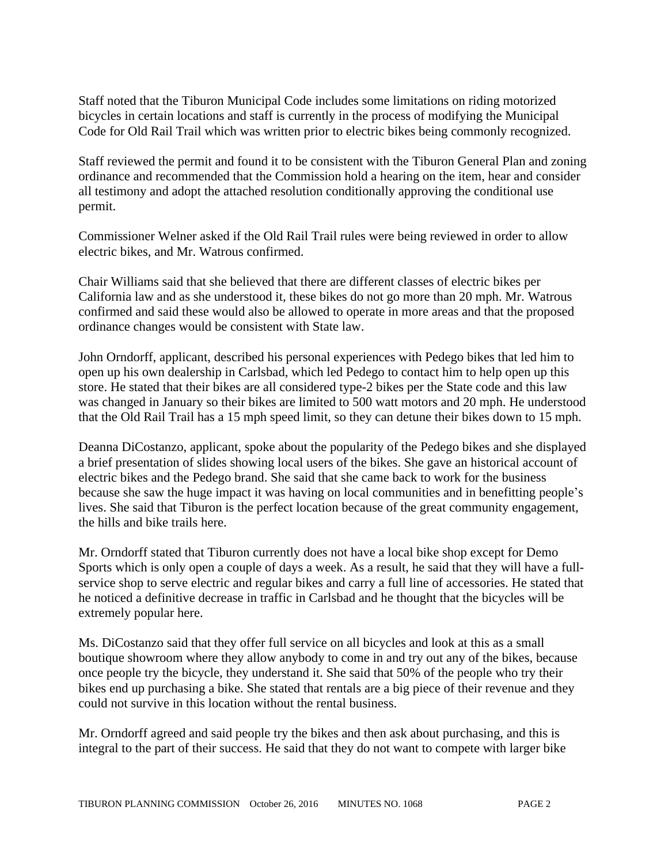Staff noted that the Tiburon Municipal Code includes some limitations on riding motorized bicycles in certain locations and staff is currently in the process of modifying the Municipal Code for Old Rail Trail which was written prior to electric bikes being commonly recognized.

Staff reviewed the permit and found it to be consistent with the Tiburon General Plan and zoning ordinance and recommended that the Commission hold a hearing on the item, hear and consider all testimony and adopt the attached resolution conditionally approving the conditional use permit.

Commissioner Welner asked if the Old Rail Trail rules were being reviewed in order to allow electric bikes, and Mr. Watrous confirmed.

Chair Williams said that she believed that there are different classes of electric bikes per California law and as she understood it, these bikes do not go more than 20 mph. Mr. Watrous confirmed and said these would also be allowed to operate in more areas and that the proposed ordinance changes would be consistent with State law.

John Orndorff, applicant, described his personal experiences with Pedego bikes that led him to open up his own dealership in Carlsbad, which led Pedego to contact him to help open up this store. He stated that their bikes are all considered type-2 bikes per the State code and this law was changed in January so their bikes are limited to 500 watt motors and 20 mph. He understood that the Old Rail Trail has a 15 mph speed limit, so they can detune their bikes down to 15 mph.

Deanna DiCostanzo, applicant, spoke about the popularity of the Pedego bikes and she displayed a brief presentation of slides showing local users of the bikes. She gave an historical account of electric bikes and the Pedego brand. She said that she came back to work for the business because she saw the huge impact it was having on local communities and in benefitting people's lives. She said that Tiburon is the perfect location because of the great community engagement, the hills and bike trails here.

Mr. Orndorff stated that Tiburon currently does not have a local bike shop except for Demo Sports which is only open a couple of days a week. As a result, he said that they will have a fullservice shop to serve electric and regular bikes and carry a full line of accessories. He stated that he noticed a definitive decrease in traffic in Carlsbad and he thought that the bicycles will be extremely popular here.

Ms. DiCostanzo said that they offer full service on all bicycles and look at this as a small boutique showroom where they allow anybody to come in and try out any of the bikes, because once people try the bicycle, they understand it. She said that 50% of the people who try their bikes end up purchasing a bike. She stated that rentals are a big piece of their revenue and they could not survive in this location without the rental business.

Mr. Orndorff agreed and said people try the bikes and then ask about purchasing, and this is integral to the part of their success. He said that they do not want to compete with larger bike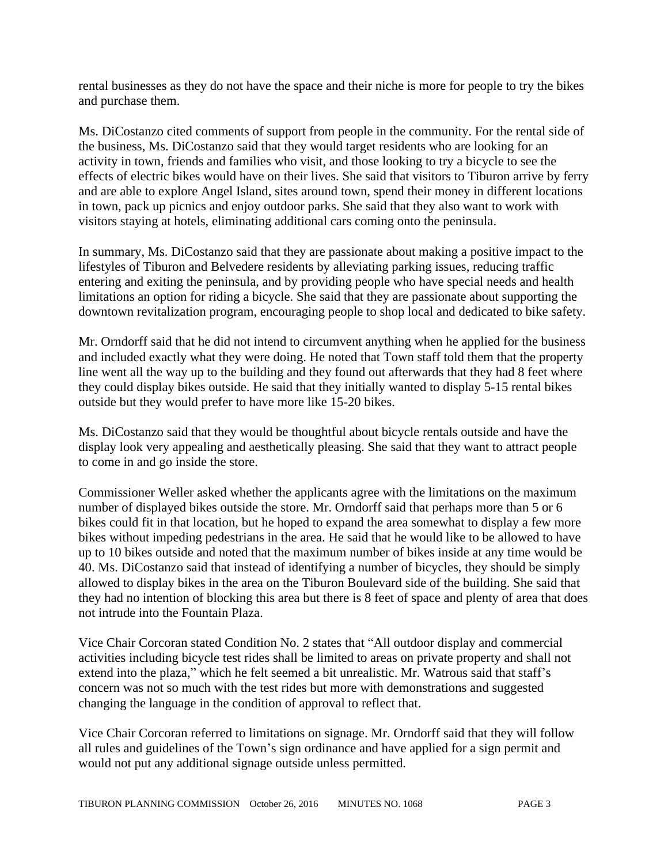rental businesses as they do not have the space and their niche is more for people to try the bikes and purchase them.

Ms. DiCostanzo cited comments of support from people in the community. For the rental side of the business, Ms. DiCostanzo said that they would target residents who are looking for an activity in town, friends and families who visit, and those looking to try a bicycle to see the effects of electric bikes would have on their lives. She said that visitors to Tiburon arrive by ferry and are able to explore Angel Island, sites around town, spend their money in different locations in town, pack up picnics and enjoy outdoor parks. She said that they also want to work with visitors staying at hotels, eliminating additional cars coming onto the peninsula.

In summary, Ms. DiCostanzo said that they are passionate about making a positive impact to the lifestyles of Tiburon and Belvedere residents by alleviating parking issues, reducing traffic entering and exiting the peninsula, and by providing people who have special needs and health limitations an option for riding a bicycle. She said that they are passionate about supporting the downtown revitalization program, encouraging people to shop local and dedicated to bike safety.

Mr. Orndorff said that he did not intend to circumvent anything when he applied for the business and included exactly what they were doing. He noted that Town staff told them that the property line went all the way up to the building and they found out afterwards that they had 8 feet where they could display bikes outside. He said that they initially wanted to display 5-15 rental bikes outside but they would prefer to have more like 15-20 bikes.

Ms. DiCostanzo said that they would be thoughtful about bicycle rentals outside and have the display look very appealing and aesthetically pleasing. She said that they want to attract people to come in and go inside the store.

Commissioner Weller asked whether the applicants agree with the limitations on the maximum number of displayed bikes outside the store. Mr. Orndorff said that perhaps more than 5 or 6 bikes could fit in that location, but he hoped to expand the area somewhat to display a few more bikes without impeding pedestrians in the area. He said that he would like to be allowed to have up to 10 bikes outside and noted that the maximum number of bikes inside at any time would be 40. Ms. DiCostanzo said that instead of identifying a number of bicycles, they should be simply allowed to display bikes in the area on the Tiburon Boulevard side of the building. She said that they had no intention of blocking this area but there is 8 feet of space and plenty of area that does not intrude into the Fountain Plaza.

Vice Chair Corcoran stated Condition No. 2 states that "All outdoor display and commercial activities including bicycle test rides shall be limited to areas on private property and shall not extend into the plaza," which he felt seemed a bit unrealistic. Mr. Watrous said that staff's concern was not so much with the test rides but more with demonstrations and suggested changing the language in the condition of approval to reflect that.

Vice Chair Corcoran referred to limitations on signage. Mr. Orndorff said that they will follow all rules and guidelines of the Town's sign ordinance and have applied for a sign permit and would not put any additional signage outside unless permitted.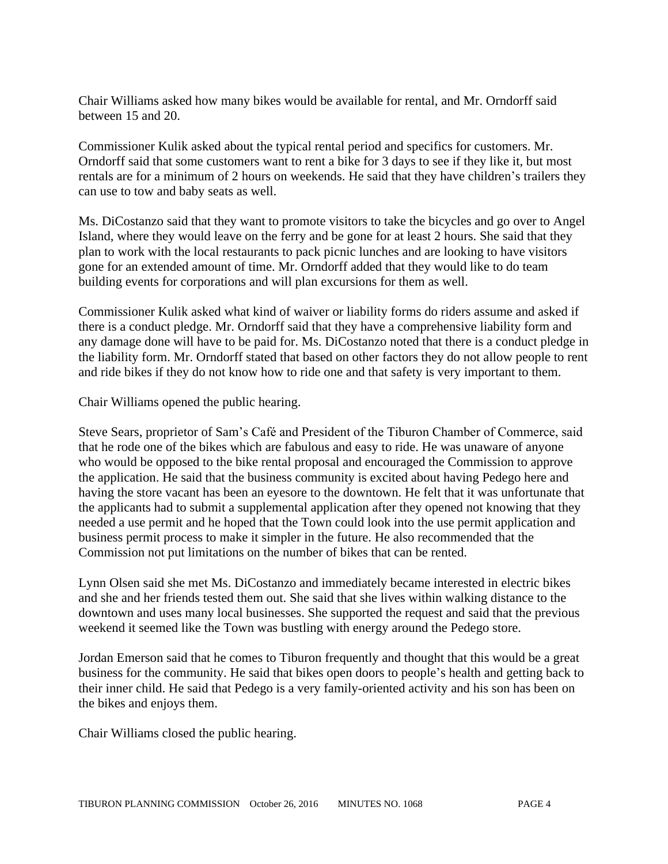Chair Williams asked how many bikes would be available for rental, and Mr. Orndorff said between 15 and 20.

Commissioner Kulik asked about the typical rental period and specifics for customers. Mr. Orndorff said that some customers want to rent a bike for 3 days to see if they like it, but most rentals are for a minimum of 2 hours on weekends. He said that they have children's trailers they can use to tow and baby seats as well.

Ms. DiCostanzo said that they want to promote visitors to take the bicycles and go over to Angel Island, where they would leave on the ferry and be gone for at least 2 hours. She said that they plan to work with the local restaurants to pack picnic lunches and are looking to have visitors gone for an extended amount of time. Mr. Orndorff added that they would like to do team building events for corporations and will plan excursions for them as well.

Commissioner Kulik asked what kind of waiver or liability forms do riders assume and asked if there is a conduct pledge. Mr. Orndorff said that they have a comprehensive liability form and any damage done will have to be paid for. Ms. DiCostanzo noted that there is a conduct pledge in the liability form. Mr. Orndorff stated that based on other factors they do not allow people to rent and ride bikes if they do not know how to ride one and that safety is very important to them.

Chair Williams opened the public hearing.

Steve Sears, proprietor of Sam's Café and President of the Tiburon Chamber of Commerce, said that he rode one of the bikes which are fabulous and easy to ride. He was unaware of anyone who would be opposed to the bike rental proposal and encouraged the Commission to approve the application. He said that the business community is excited about having Pedego here and having the store vacant has been an eyesore to the downtown. He felt that it was unfortunate that the applicants had to submit a supplemental application after they opened not knowing that they needed a use permit and he hoped that the Town could look into the use permit application and business permit process to make it simpler in the future. He also recommended that the Commission not put limitations on the number of bikes that can be rented.

Lynn Olsen said she met Ms. DiCostanzo and immediately became interested in electric bikes and she and her friends tested them out. She said that she lives within walking distance to the downtown and uses many local businesses. She supported the request and said that the previous weekend it seemed like the Town was bustling with energy around the Pedego store.

Jordan Emerson said that he comes to Tiburon frequently and thought that this would be a great business for the community. He said that bikes open doors to people's health and getting back to their inner child. He said that Pedego is a very family-oriented activity and his son has been on the bikes and enjoys them.

Chair Williams closed the public hearing.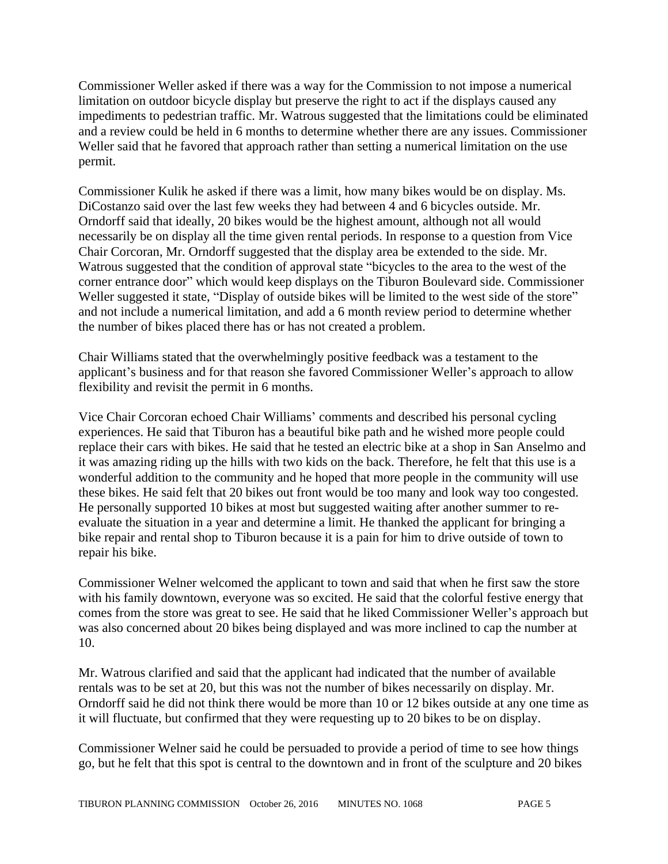Commissioner Weller asked if there was a way for the Commission to not impose a numerical limitation on outdoor bicycle display but preserve the right to act if the displays caused any impediments to pedestrian traffic. Mr. Watrous suggested that the limitations could be eliminated and a review could be held in 6 months to determine whether there are any issues. Commissioner Weller said that he favored that approach rather than setting a numerical limitation on the use permit.

Commissioner Kulik he asked if there was a limit, how many bikes would be on display. Ms. DiCostanzo said over the last few weeks they had between 4 and 6 bicycles outside. Mr. Orndorff said that ideally, 20 bikes would be the highest amount, although not all would necessarily be on display all the time given rental periods. In response to a question from Vice Chair Corcoran, Mr. Orndorff suggested that the display area be extended to the side. Mr. Watrous suggested that the condition of approval state "bicycles to the area to the west of the corner entrance door" which would keep displays on the Tiburon Boulevard side. Commissioner Weller suggested it state, "Display of outside bikes will be limited to the west side of the store" and not include a numerical limitation, and add a 6 month review period to determine whether the number of bikes placed there has or has not created a problem.

Chair Williams stated that the overwhelmingly positive feedback was a testament to the applicant's business and for that reason she favored Commissioner Weller's approach to allow flexibility and revisit the permit in 6 months.

Vice Chair Corcoran echoed Chair Williams' comments and described his personal cycling experiences. He said that Tiburon has a beautiful bike path and he wished more people could replace their cars with bikes. He said that he tested an electric bike at a shop in San Anselmo and it was amazing riding up the hills with two kids on the back. Therefore, he felt that this use is a wonderful addition to the community and he hoped that more people in the community will use these bikes. He said felt that 20 bikes out front would be too many and look way too congested. He personally supported 10 bikes at most but suggested waiting after another summer to reevaluate the situation in a year and determine a limit. He thanked the applicant for bringing a bike repair and rental shop to Tiburon because it is a pain for him to drive outside of town to repair his bike.

Commissioner Welner welcomed the applicant to town and said that when he first saw the store with his family downtown, everyone was so excited. He said that the colorful festive energy that comes from the store was great to see. He said that he liked Commissioner Weller's approach but was also concerned about 20 bikes being displayed and was more inclined to cap the number at 10.

Mr. Watrous clarified and said that the applicant had indicated that the number of available rentals was to be set at 20, but this was not the number of bikes necessarily on display. Mr. Orndorff said he did not think there would be more than 10 or 12 bikes outside at any one time as it will fluctuate, but confirmed that they were requesting up to 20 bikes to be on display.

Commissioner Welner said he could be persuaded to provide a period of time to see how things go, but he felt that this spot is central to the downtown and in front of the sculpture and 20 bikes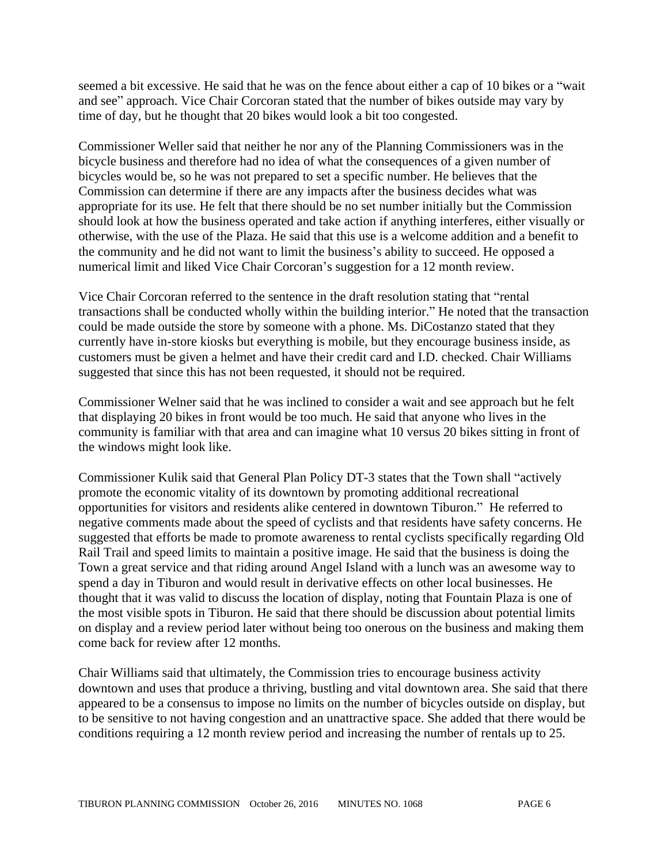seemed a bit excessive. He said that he was on the fence about either a cap of 10 bikes or a "wait and see" approach. Vice Chair Corcoran stated that the number of bikes outside may vary by time of day, but he thought that 20 bikes would look a bit too congested.

Commissioner Weller said that neither he nor any of the Planning Commissioners was in the bicycle business and therefore had no idea of what the consequences of a given number of bicycles would be, so he was not prepared to set a specific number. He believes that the Commission can determine if there are any impacts after the business decides what was appropriate for its use. He felt that there should be no set number initially but the Commission should look at how the business operated and take action if anything interferes, either visually or otherwise, with the use of the Plaza. He said that this use is a welcome addition and a benefit to the community and he did not want to limit the business's ability to succeed. He opposed a numerical limit and liked Vice Chair Corcoran's suggestion for a 12 month review.

Vice Chair Corcoran referred to the sentence in the draft resolution stating that "rental transactions shall be conducted wholly within the building interior." He noted that the transaction could be made outside the store by someone with a phone. Ms. DiCostanzo stated that they currently have in-store kiosks but everything is mobile, but they encourage business inside, as customers must be given a helmet and have their credit card and I.D. checked. Chair Williams suggested that since this has not been requested, it should not be required.

Commissioner Welner said that he was inclined to consider a wait and see approach but he felt that displaying 20 bikes in front would be too much. He said that anyone who lives in the community is familiar with that area and can imagine what 10 versus 20 bikes sitting in front of the windows might look like.

Commissioner Kulik said that General Plan Policy DT-3 states that the Town shall "actively promote the economic vitality of its downtown by promoting additional recreational opportunities for visitors and residents alike centered in downtown Tiburon." He referred to negative comments made about the speed of cyclists and that residents have safety concerns. He suggested that efforts be made to promote awareness to rental cyclists specifically regarding Old Rail Trail and speed limits to maintain a positive image. He said that the business is doing the Town a great service and that riding around Angel Island with a lunch was an awesome way to spend a day in Tiburon and would result in derivative effects on other local businesses. He thought that it was valid to discuss the location of display, noting that Fountain Plaza is one of the most visible spots in Tiburon. He said that there should be discussion about potential limits on display and a review period later without being too onerous on the business and making them come back for review after 12 months.

Chair Williams said that ultimately, the Commission tries to encourage business activity downtown and uses that produce a thriving, bustling and vital downtown area. She said that there appeared to be a consensus to impose no limits on the number of bicycles outside on display, but to be sensitive to not having congestion and an unattractive space. She added that there would be conditions requiring a 12 month review period and increasing the number of rentals up to 25.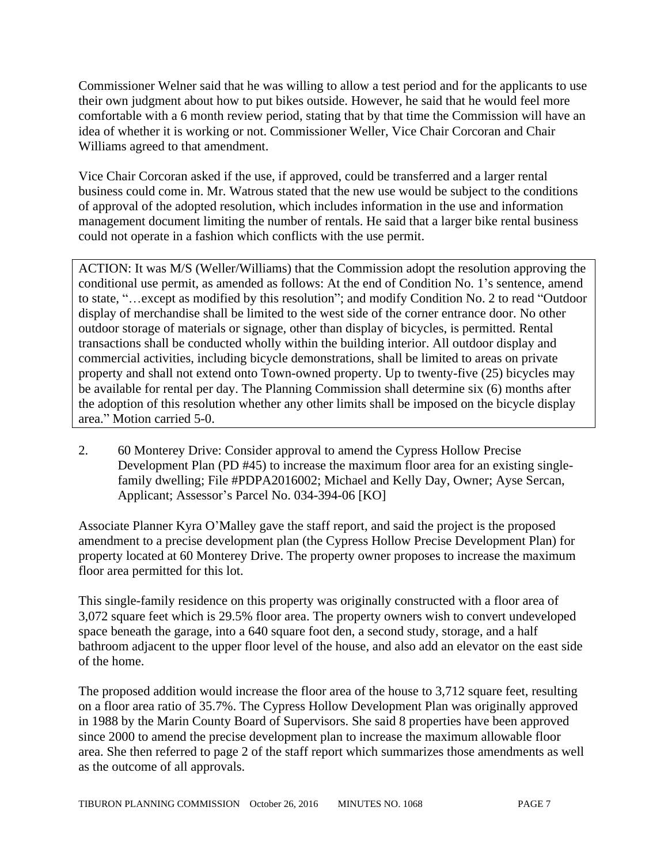Commissioner Welner said that he was willing to allow a test period and for the applicants to use their own judgment about how to put bikes outside. However, he said that he would feel more comfortable with a 6 month review period, stating that by that time the Commission will have an idea of whether it is working or not. Commissioner Weller, Vice Chair Corcoran and Chair Williams agreed to that amendment.

Vice Chair Corcoran asked if the use, if approved, could be transferred and a larger rental business could come in. Mr. Watrous stated that the new use would be subject to the conditions of approval of the adopted resolution, which includes information in the use and information management document limiting the number of rentals. He said that a larger bike rental business could not operate in a fashion which conflicts with the use permit.

ACTION: It was M/S (Weller/Williams) that the Commission adopt the resolution approving the conditional use permit, as amended as follows: At the end of Condition No. 1's sentence, amend to state, "…except as modified by this resolution"; and modify Condition No. 2 to read "Outdoor display of merchandise shall be limited to the west side of the corner entrance door. No other outdoor storage of materials or signage, other than display of bicycles, is permitted. Rental transactions shall be conducted wholly within the building interior. All outdoor display and commercial activities, including bicycle demonstrations, shall be limited to areas on private property and shall not extend onto Town-owned property. Up to twenty-five (25) bicycles may be available for rental per day. The Planning Commission shall determine six (6) months after the adoption of this resolution whether any other limits shall be imposed on the bicycle display area." Motion carried 5-0.

2. 60 Monterey Drive: Consider approval to amend the Cypress Hollow Precise Development Plan (PD #45) to increase the maximum floor area for an existing singlefamily dwelling; File #PDPA2016002; Michael and Kelly Day, Owner; Ayse Sercan, Applicant; Assessor's Parcel No. 034-394-06 [KO]

Associate Planner Kyra O'Malley gave the staff report, and said the project is the proposed amendment to a precise development plan (the Cypress Hollow Precise Development Plan) for property located at 60 Monterey Drive. The property owner proposes to increase the maximum floor area permitted for this lot.

This single-family residence on this property was originally constructed with a floor area of 3,072 square feet which is 29.5% floor area. The property owners wish to convert undeveloped space beneath the garage, into a 640 square foot den, a second study, storage, and a half bathroom adjacent to the upper floor level of the house, and also add an elevator on the east side of the home.

The proposed addition would increase the floor area of the house to 3,712 square feet, resulting on a floor area ratio of 35.7%. The Cypress Hollow Development Plan was originally approved in 1988 by the Marin County Board of Supervisors. She said 8 properties have been approved since 2000 to amend the precise development plan to increase the maximum allowable floor area. She then referred to page 2 of the staff report which summarizes those amendments as well as the outcome of all approvals.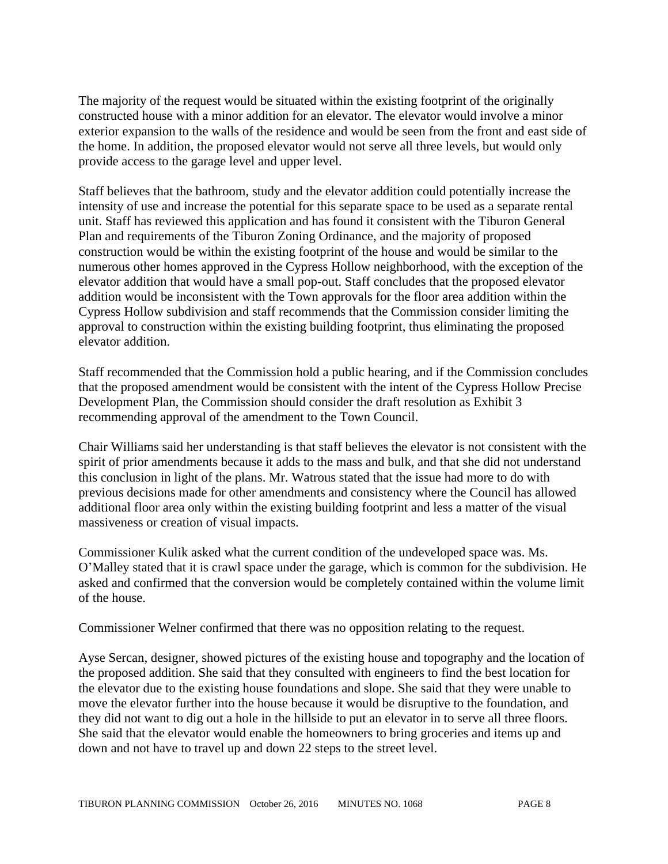The majority of the request would be situated within the existing footprint of the originally constructed house with a minor addition for an elevator. The elevator would involve a minor exterior expansion to the walls of the residence and would be seen from the front and east side of the home. In addition, the proposed elevator would not serve all three levels, but would only provide access to the garage level and upper level.

Staff believes that the bathroom, study and the elevator addition could potentially increase the intensity of use and increase the potential for this separate space to be used as a separate rental unit. Staff has reviewed this application and has found it consistent with the Tiburon General Plan and requirements of the Tiburon Zoning Ordinance, and the majority of proposed construction would be within the existing footprint of the house and would be similar to the numerous other homes approved in the Cypress Hollow neighborhood, with the exception of the elevator addition that would have a small pop-out. Staff concludes that the proposed elevator addition would be inconsistent with the Town approvals for the floor area addition within the Cypress Hollow subdivision and staff recommends that the Commission consider limiting the approval to construction within the existing building footprint, thus eliminating the proposed elevator addition.

Staff recommended that the Commission hold a public hearing, and if the Commission concludes that the proposed amendment would be consistent with the intent of the Cypress Hollow Precise Development Plan, the Commission should consider the draft resolution as Exhibit 3 recommending approval of the amendment to the Town Council.

Chair Williams said her understanding is that staff believes the elevator is not consistent with the spirit of prior amendments because it adds to the mass and bulk, and that she did not understand this conclusion in light of the plans. Mr. Watrous stated that the issue had more to do with previous decisions made for other amendments and consistency where the Council has allowed additional floor area only within the existing building footprint and less a matter of the visual massiveness or creation of visual impacts.

Commissioner Kulik asked what the current condition of the undeveloped space was. Ms. O'Malley stated that it is crawl space under the garage, which is common for the subdivision. He asked and confirmed that the conversion would be completely contained within the volume limit of the house.

Commissioner Welner confirmed that there was no opposition relating to the request.

Ayse Sercan, designer, showed pictures of the existing house and topography and the location of the proposed addition. She said that they consulted with engineers to find the best location for the elevator due to the existing house foundations and slope. She said that they were unable to move the elevator further into the house because it would be disruptive to the foundation, and they did not want to dig out a hole in the hillside to put an elevator in to serve all three floors. She said that the elevator would enable the homeowners to bring groceries and items up and down and not have to travel up and down 22 steps to the street level.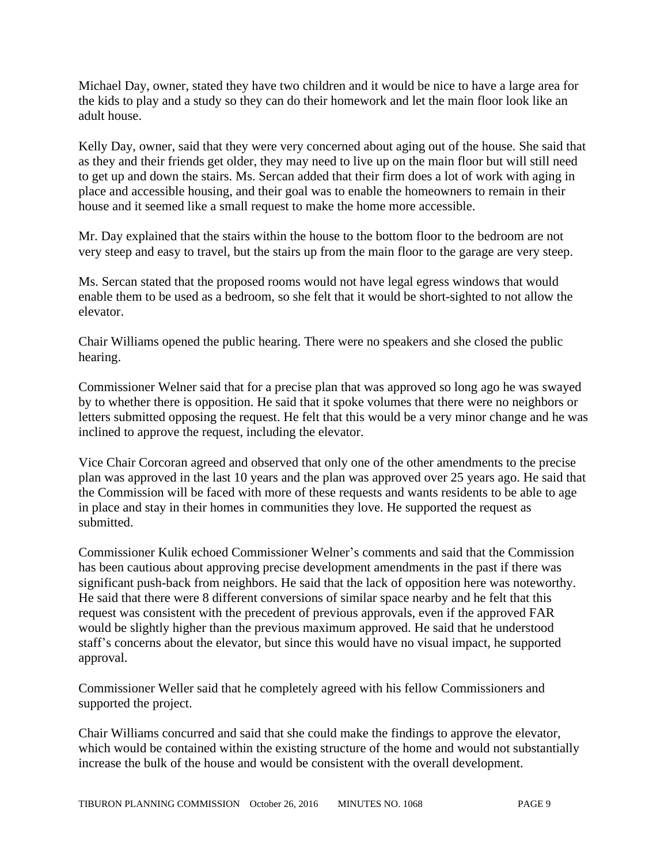Michael Day, owner, stated they have two children and it would be nice to have a large area for the kids to play and a study so they can do their homework and let the main floor look like an adult house.

Kelly Day, owner, said that they were very concerned about aging out of the house. She said that as they and their friends get older, they may need to live up on the main floor but will still need to get up and down the stairs. Ms. Sercan added that their firm does a lot of work with aging in place and accessible housing, and their goal was to enable the homeowners to remain in their house and it seemed like a small request to make the home more accessible.

Mr. Day explained that the stairs within the house to the bottom floor to the bedroom are not very steep and easy to travel, but the stairs up from the main floor to the garage are very steep.

Ms. Sercan stated that the proposed rooms would not have legal egress windows that would enable them to be used as a bedroom, so she felt that it would be short-sighted to not allow the elevator.

Chair Williams opened the public hearing. There were no speakers and she closed the public hearing.

Commissioner Welner said that for a precise plan that was approved so long ago he was swayed by to whether there is opposition. He said that it spoke volumes that there were no neighbors or letters submitted opposing the request. He felt that this would be a very minor change and he was inclined to approve the request, including the elevator.

Vice Chair Corcoran agreed and observed that only one of the other amendments to the precise plan was approved in the last 10 years and the plan was approved over 25 years ago. He said that the Commission will be faced with more of these requests and wants residents to be able to age in place and stay in their homes in communities they love. He supported the request as submitted.

Commissioner Kulik echoed Commissioner Welner's comments and said that the Commission has been cautious about approving precise development amendments in the past if there was significant push-back from neighbors. He said that the lack of opposition here was noteworthy. He said that there were 8 different conversions of similar space nearby and he felt that this request was consistent with the precedent of previous approvals, even if the approved FAR would be slightly higher than the previous maximum approved. He said that he understood staff's concerns about the elevator, but since this would have no visual impact, he supported approval.

Commissioner Weller said that he completely agreed with his fellow Commissioners and supported the project.

Chair Williams concurred and said that she could make the findings to approve the elevator, which would be contained within the existing structure of the home and would not substantially increase the bulk of the house and would be consistent with the overall development.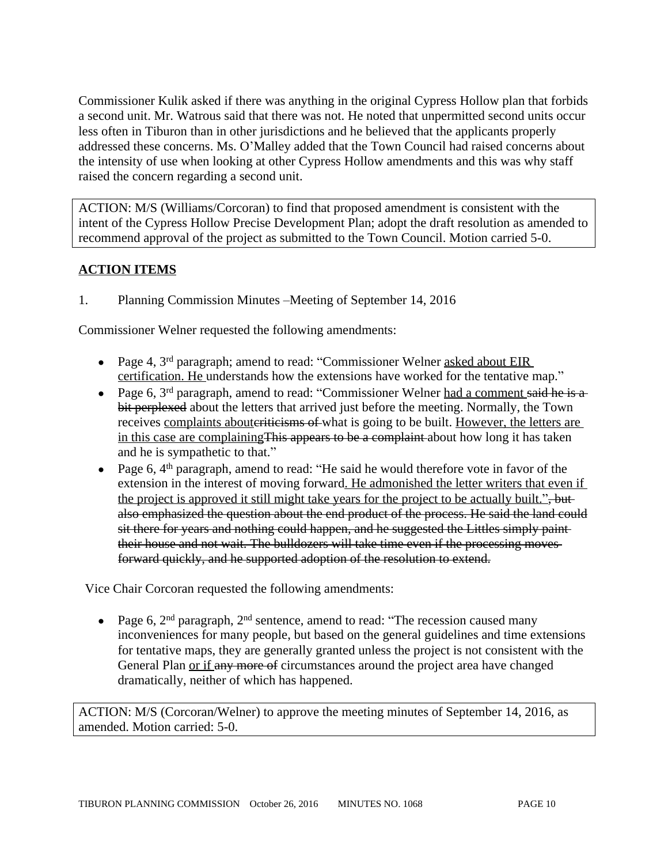Commissioner Kulik asked if there was anything in the original Cypress Hollow plan that forbids a second unit. Mr. Watrous said that there was not. He noted that unpermitted second units occur less often in Tiburon than in other jurisdictions and he believed that the applicants properly addressed these concerns. Ms. O'Malley added that the Town Council had raised concerns about the intensity of use when looking at other Cypress Hollow amendments and this was why staff raised the concern regarding a second unit.

ACTION: M/S (Williams/Corcoran) to find that proposed amendment is consistent with the intent of the Cypress Hollow Precise Development Plan; adopt the draft resolution as amended to recommend approval of the project as submitted to the Town Council. Motion carried 5-0.

## **ACTION ITEMS**

1. Planning Commission Minutes –Meeting of September 14, 2016

Commissioner Welner requested the following amendments:

- Page 4, 3<sup>rd</sup> paragraph; amend to read: "Commissioner Welner asked about EIR certification. He understands how the extensions have worked for the tentative map."
- Page 6,  $3<sup>rd</sup>$  paragraph, amend to read: "Commissioner Welner had a comment said he is a bit perplexed about the letters that arrived just before the meeting. Normally, the Town receives complaints abouter the set what is going to be built. However, the letters are in this case are complainingThis appears to be a complaint about how long it has taken and he is sympathetic to that."
- Page 6,  $4<sup>th</sup>$  paragraph, amend to read: "He said he would therefore vote in favor of the extension in the interest of moving forward. He admonished the letter writers that even if the project is approved it still might take years for the project to be actually built.", butalso emphasized the question about the end product of the process. He said the land could sit there for years and nothing could happen, and he suggested the Littles simply paint their house and not wait. The bulldozers will take time even if the processing moves forward quickly, and he supported adoption of the resolution to extend.

Vice Chair Corcoran requested the following amendments:

• Page 6,  $2<sup>nd</sup>$  paragraph,  $2<sup>nd</sup>$  sentence, amend to read: "The recession caused many inconveniences for many people, but based on the general guidelines and time extensions for tentative maps, they are generally granted unless the project is not consistent with the General Plan or if any more of circumstances around the project area have changed dramatically, neither of which has happened.

ACTION: M/S (Corcoran/Welner) to approve the meeting minutes of September 14, 2016, as amended. Motion carried: 5-0.